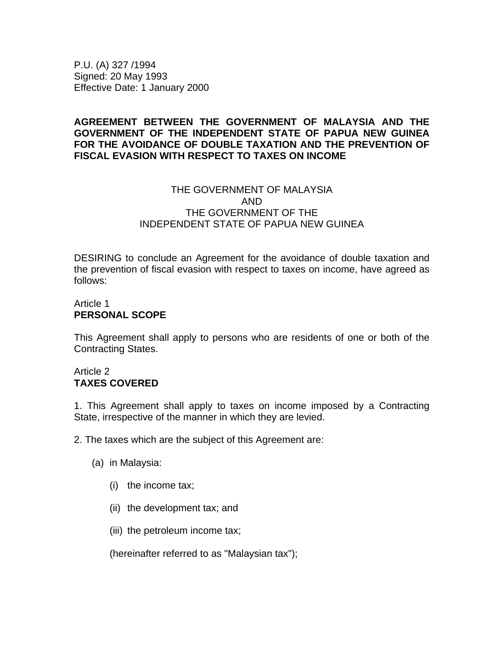P.U. (A) 327 /1994 Signed: 20 May 1993 Effective Date: 1 January 2000

### **AGREEMENT BETWEEN THE GOVERNMENT OF MALAYSIA AND THE GOVERNMENT OF THE INDEPENDENT STATE OF PAPUA NEW GUINEA FOR THE AVOIDANCE OF DOUBLE TAXATION AND THE PREVENTION OF FISCAL EVASION WITH RESPECT TO TAXES ON INCOME**

#### THE GOVERNMENT OF MALAYSIA AND THE GOVERNMENT OF THE INDEPENDENT STATE OF PAPUA NEW GUINEA

DESIRING to conclude an Agreement for the avoidance of double taxation and the prevention of fiscal evasion with respect to taxes on income, have agreed as follows:

### Article 1 **PERSONAL SCOPE**

This Agreement shall apply to persons who are residents of one or both of the Contracting States.

#### Article 2 **TAXES COVERED**

1. This Agreement shall apply to taxes on income imposed by a Contracting State, irrespective of the manner in which they are levied.

2. The taxes which are the subject of this Agreement are:

- (a) in Malaysia:
	- (i) the income tax;
	- (ii) the development tax; and
	- (iii) the petroleum income tax;

(hereinafter referred to as "Malaysian tax");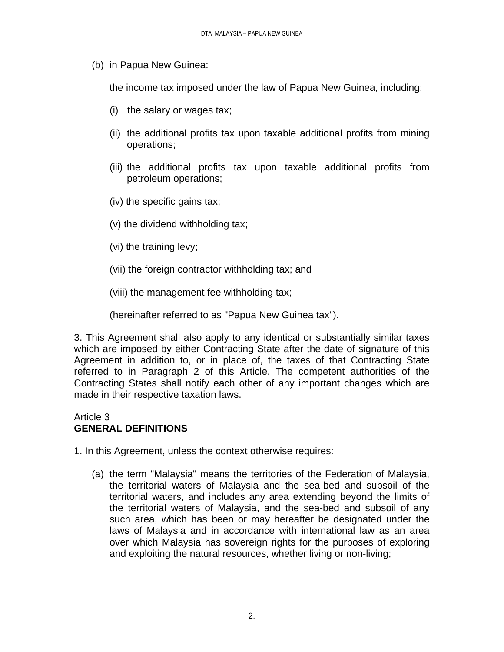(b) in Papua New Guinea:

the income tax imposed under the law of Papua New Guinea, including:

- (i) the salary or wages tax;
- (ii) the additional profits tax upon taxable additional profits from mining operations;
- (iii) the additional profits tax upon taxable additional profits from petroleum operations;
- (iv) the specific gains tax;
- (v) the dividend withholding tax;
- (vi) the training levy;
- (vii) the foreign contractor withholding tax; and
- (viii) the management fee withholding tax;

(hereinafter referred to as "Papua New Guinea tax").

3. This Agreement shall also apply to any identical or substantially similar taxes which are imposed by either Contracting State after the date of signature of this Agreement in addition to, or in place of, the taxes of that Contracting State referred to in Paragraph 2 of this Article. The competent authorities of the Contracting States shall notify each other of any important changes which are made in their respective taxation laws.

### Article 3 **GENERAL DEFINITIONS**

- 1. In this Agreement, unless the context otherwise requires:
	- (a) the term "Malaysia" means the territories of the Federation of Malaysia, the territorial waters of Malaysia and the sea-bed and subsoil of the territorial waters, and includes any area extending beyond the limits of the territorial waters of Malaysia, and the sea-bed and subsoil of any such area, which has been or may hereafter be designated under the laws of Malaysia and in accordance with international law as an area over which Malaysia has sovereign rights for the purposes of exploring and exploiting the natural resources, whether living or non-living;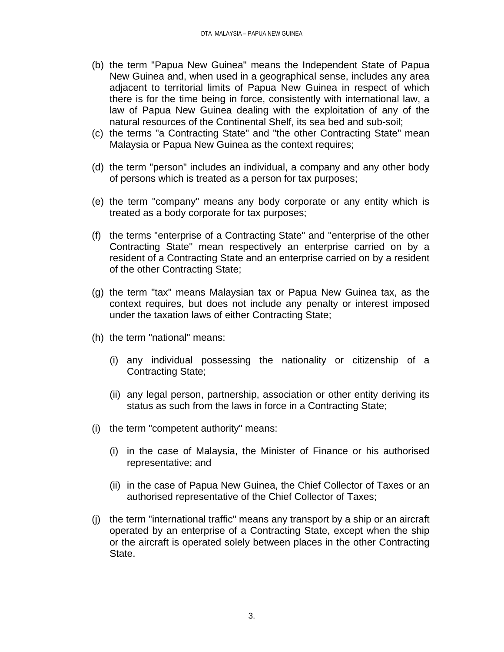- (b) the term "Papua New Guinea" means the Independent State of Papua New Guinea and, when used in a geographical sense, includes any area adjacent to territorial limits of Papua New Guinea in respect of which there is for the time being in force, consistently with international law, a law of Papua New Guinea dealing with the exploitation of any of the natural resources of the Continental Shelf, its sea bed and sub-soil;
- (c) the terms "a Contracting State" and "the other Contracting State" mean Malaysia or Papua New Guinea as the context requires;
- (d) the term "person" includes an individual, a company and any other body of persons which is treated as a person for tax purposes;
- (e) the term "company" means any body corporate or any entity which is treated as a body corporate for tax purposes;
- (f) the terms "enterprise of a Contracting State" and "enterprise of the other Contracting State" mean respectively an enterprise carried on by a resident of a Contracting State and an enterprise carried on by a resident of the other Contracting State;
- (g) the term "tax" means Malaysian tax or Papua New Guinea tax, as the context requires, but does not include any penalty or interest imposed under the taxation laws of either Contracting State;
- (h) the term "national" means:
	- (i) any individual possessing the nationality or citizenship of a Contracting State;
	- (ii) any legal person, partnership, association or other entity deriving its status as such from the laws in force in a Contracting State;
- (i) the term "competent authority" means:
	- (i) in the case of Malaysia, the Minister of Finance or his authorised representative; and
	- (ii) in the case of Papua New Guinea, the Chief Collector of Taxes or an authorised representative of the Chief Collector of Taxes;
- (j) the term "international traffic" means any transport by a ship or an aircraft operated by an enterprise of a Contracting State, except when the ship or the aircraft is operated solely between places in the other Contracting State.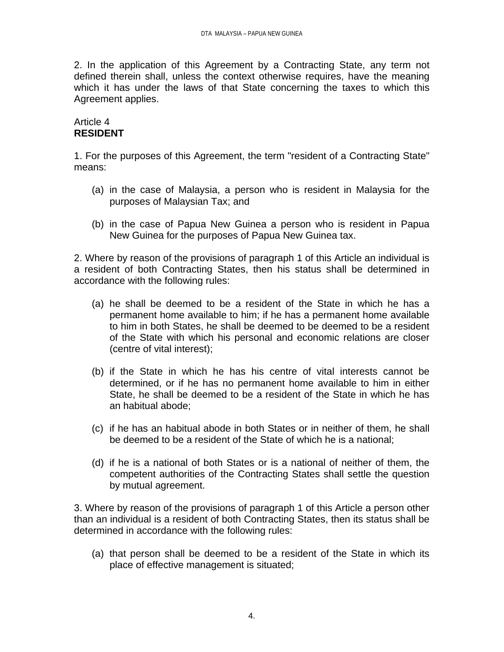2. In the application of this Agreement by a Contracting State, any term not defined therein shall, unless the context otherwise requires, have the meaning which it has under the laws of that State concerning the taxes to which this Agreement applies.

### Article 4 **RESIDENT**

1. For the purposes of this Agreement, the term "resident of a Contracting State" means:

- (a) in the case of Malaysia, a person who is resident in Malaysia for the purposes of Malaysian Tax; and
- (b) in the case of Papua New Guinea a person who is resident in Papua New Guinea for the purposes of Papua New Guinea tax.

2. Where by reason of the provisions of paragraph 1 of this Article an individual is a resident of both Contracting States, then his status shall be determined in accordance with the following rules:

- (a) he shall be deemed to be a resident of the State in which he has a permanent home available to him; if he has a permanent home available to him in both States, he shall be deemed to be deemed to be a resident of the State with which his personal and economic relations are closer (centre of vital interest);
- (b) if the State in which he has his centre of vital interests cannot be determined, or if he has no permanent home available to him in either State, he shall be deemed to be a resident of the State in which he has an habitual abode;
- (c) if he has an habitual abode in both States or in neither of them, he shall be deemed to be a resident of the State of which he is a national;
- (d) if he is a national of both States or is a national of neither of them, the competent authorities of the Contracting States shall settle the question by mutual agreement.

3. Where by reason of the provisions of paragraph 1 of this Article a person other than an individual is a resident of both Contracting States, then its status shall be determined in accordance with the following rules:

(a) that person shall be deemed to be a resident of the State in which its place of effective management is situated;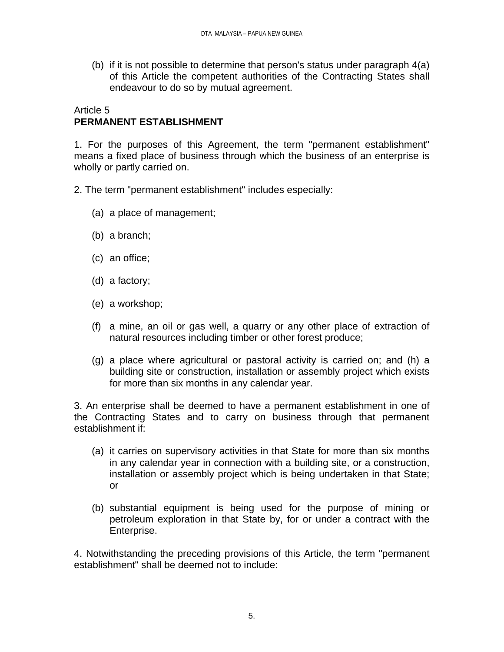(b) if it is not possible to determine that person's status under paragraph 4(a) of this Article the competent authorities of the Contracting States shall endeavour to do so by mutual agreement.

### Article 5 **PERMANENT ESTABLISHMENT**

1. For the purposes of this Agreement, the term "permanent establishment" means a fixed place of business through which the business of an enterprise is wholly or partly carried on.

- 2. The term "permanent establishment" includes especially:
	- (a) a place of management;
	- (b) a branch;
	- (c) an office;
	- (d) a factory;
	- (e) a workshop;
	- (f) a mine, an oil or gas well, a quarry or any other place of extraction of natural resources including timber or other forest produce;
	- (g) a place where agricultural or pastoral activity is carried on; and (h) a building site or construction, installation or assembly project which exists for more than six months in any calendar year.

3. An enterprise shall be deemed to have a permanent establishment in one of the Contracting States and to carry on business through that permanent establishment if:

- (a) it carries on supervisory activities in that State for more than six months in any calendar year in connection with a building site, or a construction, installation or assembly project which is being undertaken in that State; or
- (b) substantial equipment is being used for the purpose of mining or petroleum exploration in that State by, for or under a contract with the Enterprise.

4. Notwithstanding the preceding provisions of this Article, the term "permanent establishment" shall be deemed not to include: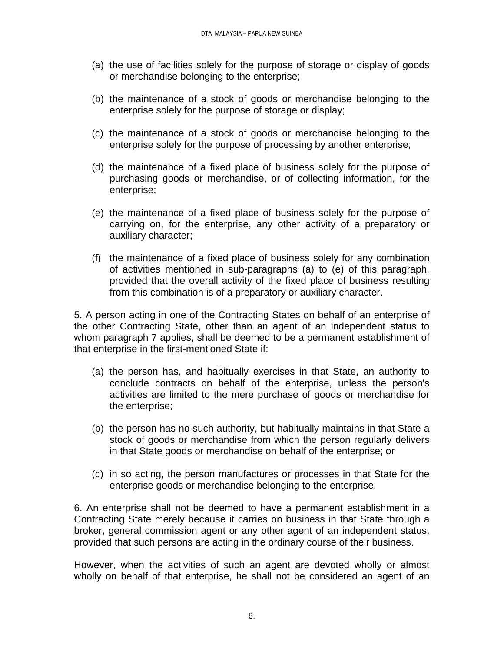- (a) the use of facilities solely for the purpose of storage or display of goods or merchandise belonging to the enterprise;
- (b) the maintenance of a stock of goods or merchandise belonging to the enterprise solely for the purpose of storage or display;
- (c) the maintenance of a stock of goods or merchandise belonging to the enterprise solely for the purpose of processing by another enterprise;
- (d) the maintenance of a fixed place of business solely for the purpose of purchasing goods or merchandise, or of collecting information, for the enterprise;
- (e) the maintenance of a fixed place of business solely for the purpose of carrying on, for the enterprise, any other activity of a preparatory or auxiliary character;
- (f) the maintenance of a fixed place of business solely for any combination of activities mentioned in sub-paragraphs (a) to (e) of this paragraph, provided that the overall activity of the fixed place of business resulting from this combination is of a preparatory or auxiliary character.

5. A person acting in one of the Contracting States on behalf of an enterprise of the other Contracting State, other than an agent of an independent status to whom paragraph 7 applies, shall be deemed to be a permanent establishment of that enterprise in the first-mentioned State if:

- (a) the person has, and habitually exercises in that State, an authority to conclude contracts on behalf of the enterprise, unless the person's activities are limited to the mere purchase of goods or merchandise for the enterprise;
- (b) the person has no such authority, but habitually maintains in that State a stock of goods or merchandise from which the person regularly delivers in that State goods or merchandise on behalf of the enterprise; or
- (c) in so acting, the person manufactures or processes in that State for the enterprise goods or merchandise belonging to the enterprise.

6. An enterprise shall not be deemed to have a permanent establishment in a Contracting State merely because it carries on business in that State through a broker, general commission agent or any other agent of an independent status, provided that such persons are acting in the ordinary course of their business.

However, when the activities of such an agent are devoted wholly or almost wholly on behalf of that enterprise, he shall not be considered an agent of an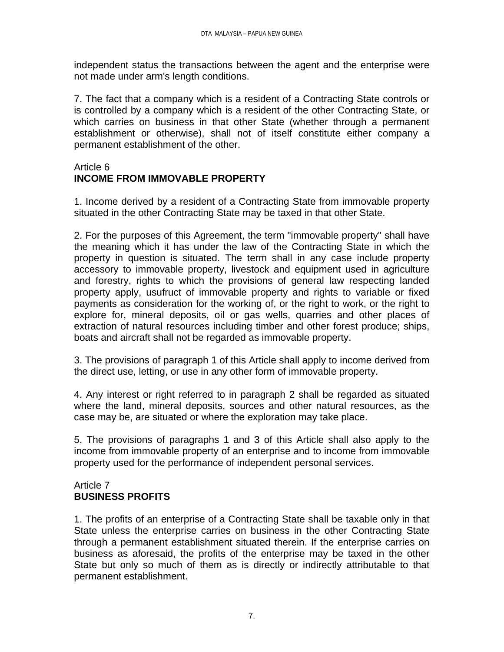independent status the transactions between the agent and the enterprise were not made under arm's length conditions.

7. The fact that a company which is a resident of a Contracting State controls or is controlled by a company which is a resident of the other Contracting State, or which carries on business in that other State (whether through a permanent establishment or otherwise), shall not of itself constitute either company a permanent establishment of the other.

### Article 6 **INCOME FROM IMMOVABLE PROPERTY**

1. Income derived by a resident of a Contracting State from immovable property situated in the other Contracting State may be taxed in that other State.

2. For the purposes of this Agreement, the term "immovable property" shall have the meaning which it has under the law of the Contracting State in which the property in question is situated. The term shall in any case include property accessory to immovable property, livestock and equipment used in agriculture and forestry, rights to which the provisions of general law respecting landed property apply, usufruct of immovable property and rights to variable or fixed payments as consideration for the working of, or the right to work, or the right to explore for, mineral deposits, oil or gas wells, quarries and other places of extraction of natural resources including timber and other forest produce; ships, boats and aircraft shall not be regarded as immovable property.

3. The provisions of paragraph 1 of this Article shall apply to income derived from the direct use, letting, or use in any other form of immovable property.

4. Any interest or right referred to in paragraph 2 shall be regarded as situated where the land, mineral deposits, sources and other natural resources, as the case may be, are situated or where the exploration may take place.

5. The provisions of paragraphs 1 and 3 of this Article shall also apply to the income from immovable property of an enterprise and to income from immovable property used for the performance of independent personal services.

### Article 7 **BUSINESS PROFITS**

1. The profits of an enterprise of a Contracting State shall be taxable only in that State unless the enterprise carries on business in the other Contracting State through a permanent establishment situated therein. If the enterprise carries on business as aforesaid, the profits of the enterprise may be taxed in the other State but only so much of them as is directly or indirectly attributable to that permanent establishment.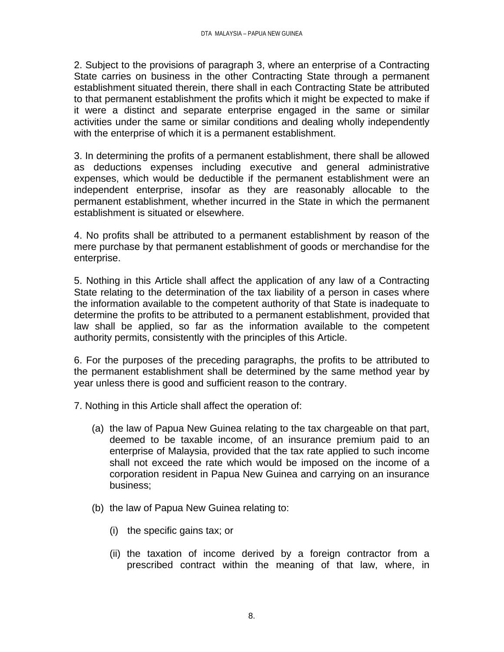2. Subject to the provisions of paragraph 3, where an enterprise of a Contracting State carries on business in the other Contracting State through a permanent establishment situated therein, there shall in each Contracting State be attributed to that permanent establishment the profits which it might be expected to make if it were a distinct and separate enterprise engaged in the same or similar activities under the same or similar conditions and dealing wholly independently with the enterprise of which it is a permanent establishment.

3. In determining the profits of a permanent establishment, there shall be allowed as deductions expenses including executive and general administrative expenses, which would be deductible if the permanent establishment were an independent enterprise, insofar as they are reasonably allocable to the permanent establishment, whether incurred in the State in which the permanent establishment is situated or elsewhere.

4. No profits shall be attributed to a permanent establishment by reason of the mere purchase by that permanent establishment of goods or merchandise for the enterprise.

5. Nothing in this Article shall affect the application of any law of a Contracting State relating to the determination of the tax liability of a person in cases where the information available to the competent authority of that State is inadequate to determine the profits to be attributed to a permanent establishment, provided that law shall be applied, so far as the information available to the competent authority permits, consistently with the principles of this Article.

6. For the purposes of the preceding paragraphs, the profits to be attributed to the permanent establishment shall be determined by the same method year by year unless there is good and sufficient reason to the contrary.

7. Nothing in this Article shall affect the operation of:

- (a) the law of Papua New Guinea relating to the tax chargeable on that part, deemed to be taxable income, of an insurance premium paid to an enterprise of Malaysia, provided that the tax rate applied to such income shall not exceed the rate which would be imposed on the income of a corporation resident in Papua New Guinea and carrying on an insurance business;
- (b) the law of Papua New Guinea relating to:
	- (i) the specific gains tax; or
	- (ii) the taxation of income derived by a foreign contractor from a prescribed contract within the meaning of that law, where, in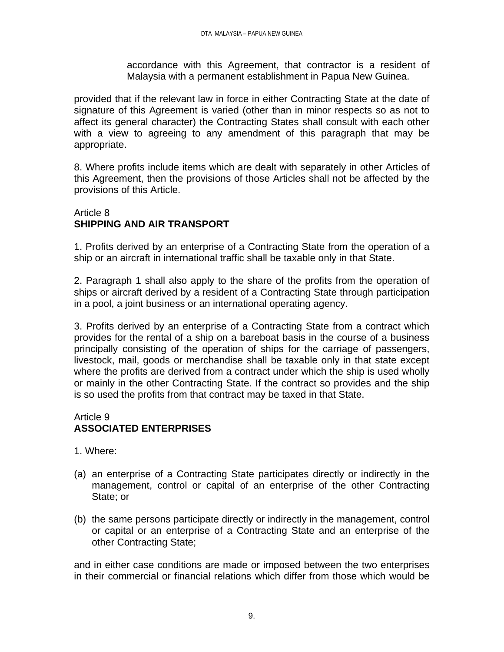accordance with this Agreement, that contractor is a resident of Malaysia with a permanent establishment in Papua New Guinea.

provided that if the relevant law in force in either Contracting State at the date of signature of this Agreement is varied (other than in minor respects so as not to affect its general character) the Contracting States shall consult with each other with a view to agreeing to any amendment of this paragraph that may be appropriate.

8. Where profits include items which are dealt with separately in other Articles of this Agreement, then the provisions of those Articles shall not be affected by the provisions of this Article.

## Article 8 **SHIPPING AND AIR TRANSPORT**

1. Profits derived by an enterprise of a Contracting State from the operation of a ship or an aircraft in international traffic shall be taxable only in that State.

2. Paragraph 1 shall also apply to the share of the profits from the operation of ships or aircraft derived by a resident of a Contracting State through participation in a pool, a joint business or an international operating agency.

3. Profits derived by an enterprise of a Contracting State from a contract which provides for the rental of a ship on a bareboat basis in the course of a business principally consisting of the operation of ships for the carriage of passengers, livestock, mail, goods or merchandise shall be taxable only in that state except where the profits are derived from a contract under which the ship is used wholly or mainly in the other Contracting State. If the contract so provides and the ship is so used the profits from that contract may be taxed in that State.

### Article 9 **ASSOCIATED ENTERPRISES**

- 1. Where:
- (a) an enterprise of a Contracting State participates directly or indirectly in the management, control or capital of an enterprise of the other Contracting State; or
- (b) the same persons participate directly or indirectly in the management, control or capital or an enterprise of a Contracting State and an enterprise of the other Contracting State;

and in either case conditions are made or imposed between the two enterprises in their commercial or financial relations which differ from those which would be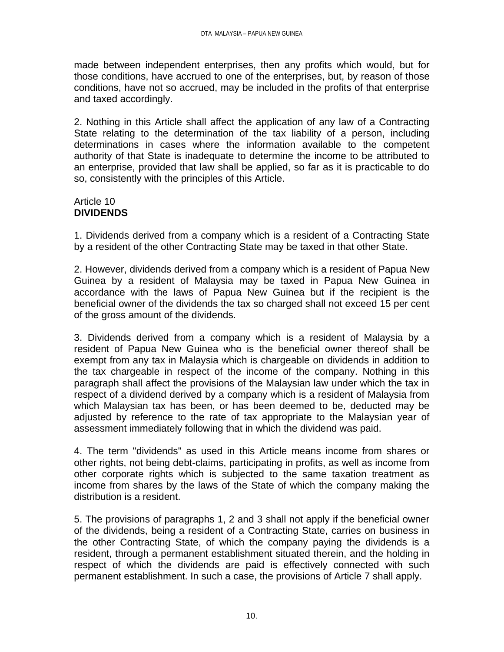made between independent enterprises, then any profits which would, but for those conditions, have accrued to one of the enterprises, but, by reason of those conditions, have not so accrued, may be included in the profits of that enterprise and taxed accordingly.

2. Nothing in this Article shall affect the application of any law of a Contracting State relating to the determination of the tax liability of a person, including determinations in cases where the information available to the competent authority of that State is inadequate to determine the income to be attributed to an enterprise, provided that law shall be applied, so far as it is practicable to do so, consistently with the principles of this Article.

### Article 10 **DIVIDENDS**

1. Dividends derived from a company which is a resident of a Contracting State by a resident of the other Contracting State may be taxed in that other State.

2. However, dividends derived from a company which is a resident of Papua New Guinea by a resident of Malaysia may be taxed in Papua New Guinea in accordance with the laws of Papua New Guinea but if the recipient is the beneficial owner of the dividends the tax so charged shall not exceed 15 per cent of the gross amount of the dividends.

3. Dividends derived from a company which is a resident of Malaysia by a resident of Papua New Guinea who is the beneficial owner thereof shall be exempt from any tax in Malaysia which is chargeable on dividends in addition to the tax chargeable in respect of the income of the company. Nothing in this paragraph shall affect the provisions of the Malaysian law under which the tax in respect of a dividend derived by a company which is a resident of Malaysia from which Malaysian tax has been, or has been deemed to be, deducted may be adjusted by reference to the rate of tax appropriate to the Malaysian year of assessment immediately following that in which the dividend was paid.

4. The term "dividends" as used in this Article means income from shares or other rights, not being debt-claims, participating in profits, as well as income from other corporate rights which is subjected to the same taxation treatment as income from shares by the laws of the State of which the company making the distribution is a resident.

5. The provisions of paragraphs 1, 2 and 3 shall not apply if the beneficial owner of the dividends, being a resident of a Contracting State, carries on business in the other Contracting State, of which the company paying the dividends is a resident, through a permanent establishment situated therein, and the holding in respect of which the dividends are paid is effectively connected with such permanent establishment. In such a case, the provisions of Article 7 shall apply.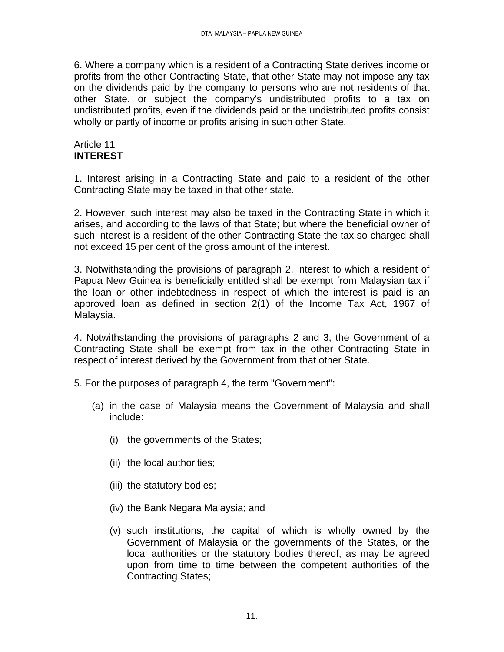6. Where a company which is a resident of a Contracting State derives income or profits from the other Contracting State, that other State may not impose any tax on the dividends paid by the company to persons who are not residents of that other State, or subject the company's undistributed profits to a tax on undistributed profits, even if the dividends paid or the undistributed profits consist wholly or partly of income or profits arising in such other State.

### Article 11 **INTEREST**

1. Interest arising in a Contracting State and paid to a resident of the other Contracting State may be taxed in that other state.

2. However, such interest may also be taxed in the Contracting State in which it arises, and according to the laws of that State; but where the beneficial owner of such interest is a resident of the other Contracting State the tax so charged shall not exceed 15 per cent of the gross amount of the interest.

3. Notwithstanding the provisions of paragraph 2, interest to which a resident of Papua New Guinea is beneficially entitled shall be exempt from Malaysian tax if the loan or other indebtedness in respect of which the interest is paid is an approved loan as defined in section 2(1) of the Income Tax Act, 1967 of Malaysia.

4. Notwithstanding the provisions of paragraphs 2 and 3, the Government of a Contracting State shall be exempt from tax in the other Contracting State in respect of interest derived by the Government from that other State.

5. For the purposes of paragraph 4, the term "Government":

- (a) in the case of Malaysia means the Government of Malaysia and shall include:
	- (i) the governments of the States;
	- (ii) the local authorities;
	- (iii) the statutory bodies;
	- (iv) the Bank Negara Malaysia; and
	- (v) such institutions, the capital of which is wholly owned by the Government of Malaysia or the governments of the States, or the local authorities or the statutory bodies thereof, as may be agreed upon from time to time between the competent authorities of the Contracting States;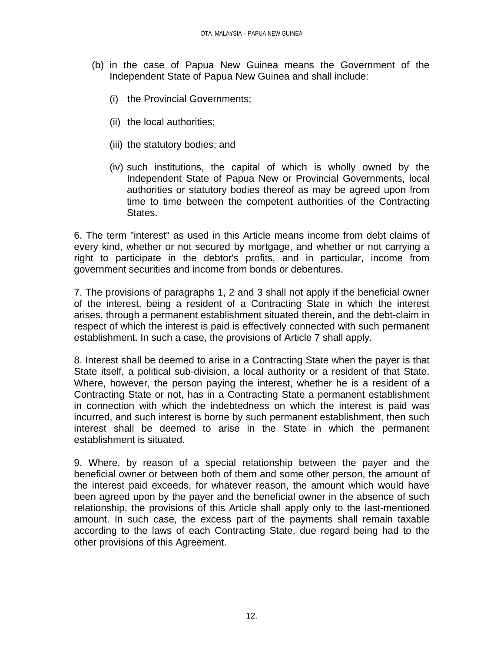- (b) in the case of Papua New Guinea means the Government of the Independent State of Papua New Guinea and shall include:
	- (i) the Provincial Governments;
	- (ii) the local authorities;
	- (iii) the statutory bodies; and
	- (iv) such institutions, the capital of which is wholly owned by the Independent State of Papua New or Provincial Governments, local authorities or statutory bodies thereof as may be agreed upon from time to time between the competent authorities of the Contracting States.

6. The term "interest" as used in this Article means income from debt claims of every kind, whether or not secured by mortgage, and whether or not carrying a right to participate in the debtor's profits, and in particular, income from government securities and income from bonds or debentures.

7. The provisions of paragraphs 1, 2 and 3 shall not apply if the beneficial owner of the interest, being a resident of a Contracting State in which the interest arises, through a permanent establishment situated therein, and the debt-claim in respect of which the interest is paid is effectively connected with such permanent establishment. In such a case, the provisions of Article 7 shall apply.

8. Interest shall be deemed to arise in a Contracting State when the payer is that State itself, a political sub-division, a local authority or a resident of that State. Where, however, the person paying the interest, whether he is a resident of a Contracting State or not, has in a Contracting State a permanent establishment in connection with which the indebtedness on which the interest is paid was incurred, and such interest is borne by such permanent establishment, then such interest shall be deemed to arise in the State in which the permanent establishment is situated.

9. Where, by reason of a special relationship between the payer and the beneficial owner or between both of them and some other person, the amount of the interest paid exceeds, for whatever reason, the amount which would have been agreed upon by the payer and the beneficial owner in the absence of such relationship, the provisions of this Article shall apply only to the last-mentioned amount. In such case, the excess part of the payments shall remain taxable according to the laws of each Contracting State, due regard being had to the other provisions of this Agreement.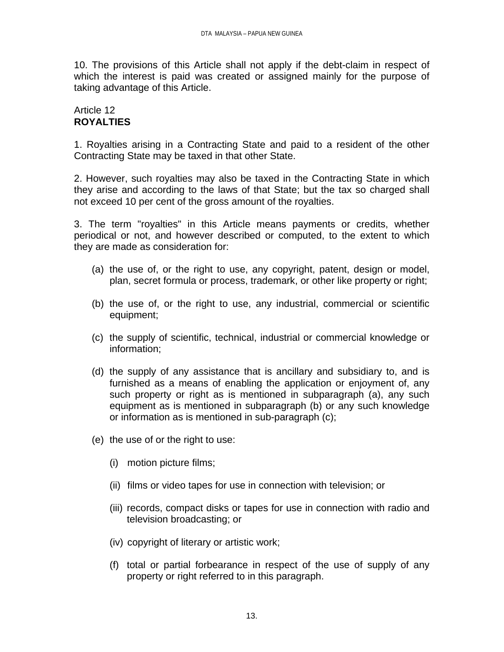10. The provisions of this Article shall not apply if the debt-claim in respect of which the interest is paid was created or assigned mainly for the purpose of taking advantage of this Article.

## Article 12 **ROYALTIES**

1. Royalties arising in a Contracting State and paid to a resident of the other Contracting State may be taxed in that other State.

2. However, such royalties may also be taxed in the Contracting State in which they arise and according to the laws of that State; but the tax so charged shall not exceed 10 per cent of the gross amount of the royalties.

3. The term "royalties" in this Article means payments or credits, whether periodical or not, and however described or computed, to the extent to which they are made as consideration for:

- (a) the use of, or the right to use, any copyright, patent, design or model, plan, secret formula or process, trademark, or other like property or right;
- (b) the use of, or the right to use, any industrial, commercial or scientific equipment;
- (c) the supply of scientific, technical, industrial or commercial knowledge or information;
- (d) the supply of any assistance that is ancillary and subsidiary to, and is furnished as a means of enabling the application or enjoyment of, any such property or right as is mentioned in subparagraph (a), any such equipment as is mentioned in subparagraph (b) or any such knowledge or information as is mentioned in sub-paragraph (c);
- (e) the use of or the right to use:
	- (i) motion picture films;
	- (ii) films or video tapes for use in connection with television; or
	- (iii) records, compact disks or tapes for use in connection with radio and television broadcasting; or
	- (iv) copyright of literary or artistic work;
	- (f) total or partial forbearance in respect of the use of supply of any property or right referred to in this paragraph.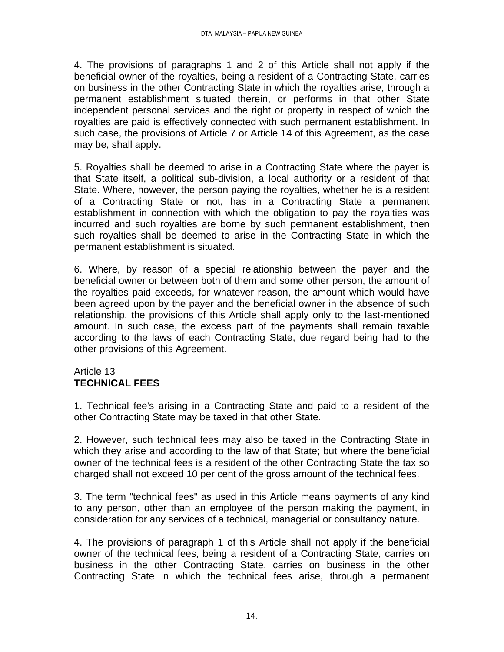4. The provisions of paragraphs 1 and 2 of this Article shall not apply if the beneficial owner of the royalties, being a resident of a Contracting State, carries on business in the other Contracting State in which the royalties arise, through a permanent establishment situated therein, or performs in that other State independent personal services and the right or property in respect of which the royalties are paid is effectively connected with such permanent establishment. In such case, the provisions of Article 7 or Article 14 of this Agreement, as the case may be, shall apply.

5. Royalties shall be deemed to arise in a Contracting State where the payer is that State itself, a political sub-division, a local authority or a resident of that State. Where, however, the person paying the royalties, whether he is a resident of a Contracting State or not, has in a Contracting State a permanent establishment in connection with which the obligation to pay the royalties was incurred and such royalties are borne by such permanent establishment, then such royalties shall be deemed to arise in the Contracting State in which the permanent establishment is situated.

6. Where, by reason of a special relationship between the payer and the beneficial owner or between both of them and some other person, the amount of the royalties paid exceeds, for whatever reason, the amount which would have been agreed upon by the payer and the beneficial owner in the absence of such relationship, the provisions of this Article shall apply only to the last-mentioned amount. In such case, the excess part of the payments shall remain taxable according to the laws of each Contracting State, due regard being had to the other provisions of this Agreement.

## Article 13 **TECHNICAL FEES**

1. Technical fee's arising in a Contracting State and paid to a resident of the other Contracting State may be taxed in that other State.

2. However, such technical fees may also be taxed in the Contracting State in which they arise and according to the law of that State; but where the beneficial owner of the technical fees is a resident of the other Contracting State the tax so charged shall not exceed 10 per cent of the gross amount of the technical fees.

3. The term "technical fees" as used in this Article means payments of any kind to any person, other than an employee of the person making the payment, in consideration for any services of a technical, managerial or consultancy nature.

4. The provisions of paragraph 1 of this Article shall not apply if the beneficial owner of the technical fees, being a resident of a Contracting State, carries on business in the other Contracting State, carries on business in the other Contracting State in which the technical fees arise, through a permanent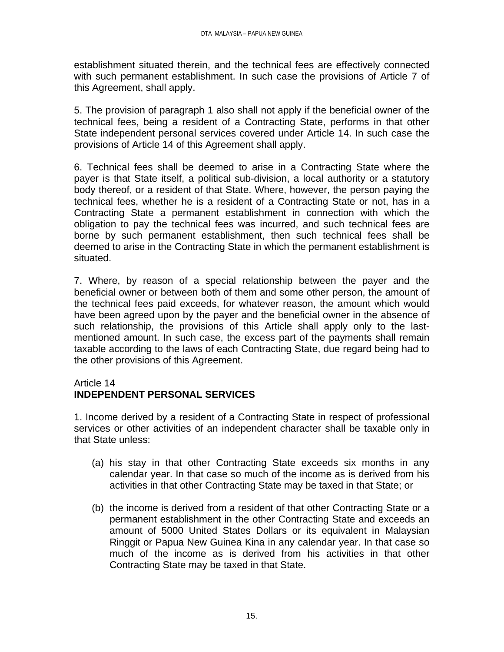establishment situated therein, and the technical fees are effectively connected with such permanent establishment. In such case the provisions of Article 7 of this Agreement, shall apply.

5. The provision of paragraph 1 also shall not apply if the beneficial owner of the technical fees, being a resident of a Contracting State, performs in that other State independent personal services covered under Article 14. In such case the provisions of Article 14 of this Agreement shall apply.

6. Technical fees shall be deemed to arise in a Contracting State where the payer is that State itself, a political sub-division, a local authority or a statutory body thereof, or a resident of that State. Where, however, the person paying the technical fees, whether he is a resident of a Contracting State or not, has in a Contracting State a permanent establishment in connection with which the obligation to pay the technical fees was incurred, and such technical fees are borne by such permanent establishment, then such technical fees shall be deemed to arise in the Contracting State in which the permanent establishment is situated.

7. Where, by reason of a special relationship between the payer and the beneficial owner or between both of them and some other person, the amount of the technical fees paid exceeds, for whatever reason, the amount which would have been agreed upon by the payer and the beneficial owner in the absence of such relationship, the provisions of this Article shall apply only to the lastmentioned amount. In such case, the excess part of the payments shall remain taxable according to the laws of each Contracting State, due regard being had to the other provisions of this Agreement.

#### Article 14

# **INDEPENDENT PERSONAL SERVICES**

1. Income derived by a resident of a Contracting State in respect of professional services or other activities of an independent character shall be taxable only in that State unless:

- (a) his stay in that other Contracting State exceeds six months in any calendar year. In that case so much of the income as is derived from his activities in that other Contracting State may be taxed in that State; or
- (b) the income is derived from a resident of that other Contracting State or a permanent establishment in the other Contracting State and exceeds an amount of 5000 United States Dollars or its equivalent in Malaysian Ringgit or Papua New Guinea Kina in any calendar year. In that case so much of the income as is derived from his activities in that other Contracting State may be taxed in that State.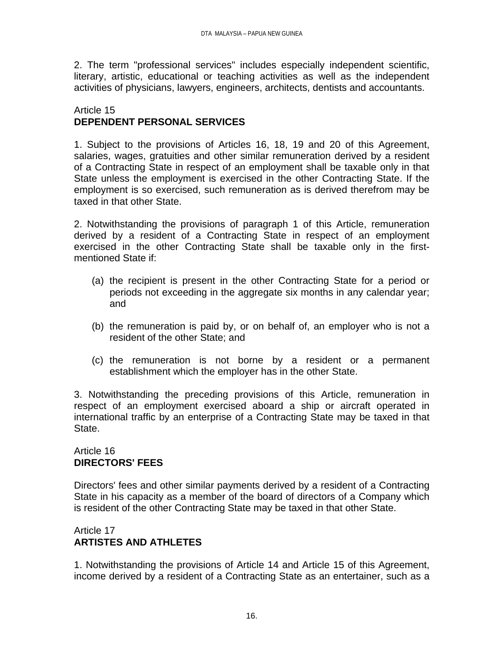2. The term "professional services" includes especially independent scientific, literary, artistic, educational or teaching activities as well as the independent activities of physicians, lawyers, engineers, architects, dentists and accountants.

### Article 15 **DEPENDENT PERSONAL SERVICES**

1. Subject to the provisions of Articles 16, 18, 19 and 20 of this Agreement, salaries, wages, gratuities and other similar remuneration derived by a resident of a Contracting State in respect of an employment shall be taxable only in that State unless the employment is exercised in the other Contracting State. If the employment is so exercised, such remuneration as is derived therefrom may be taxed in that other State.

2. Notwithstanding the provisions of paragraph 1 of this Article, remuneration derived by a resident of a Contracting State in respect of an employment exercised in the other Contracting State shall be taxable only in the firstmentioned State if:

- (a) the recipient is present in the other Contracting State for a period or periods not exceeding in the aggregate six months in any calendar year; and
- (b) the remuneration is paid by, or on behalf of, an employer who is not a resident of the other State; and
- (c) the remuneration is not borne by a resident or a permanent establishment which the employer has in the other State.

3. Notwithstanding the preceding provisions of this Article, remuneration in respect of an employment exercised aboard a ship or aircraft operated in international traffic by an enterprise of a Contracting State may be taxed in that State.

# Article 16 **DIRECTORS' FEES**

Directors' fees and other similar payments derived by a resident of a Contracting State in his capacity as a member of the board of directors of a Company which is resident of the other Contracting State may be taxed in that other State.

# Article 17 **ARTISTES AND ATHLETES**

1. Notwithstanding the provisions of Article 14 and Article 15 of this Agreement, income derived by a resident of a Contracting State as an entertainer, such as a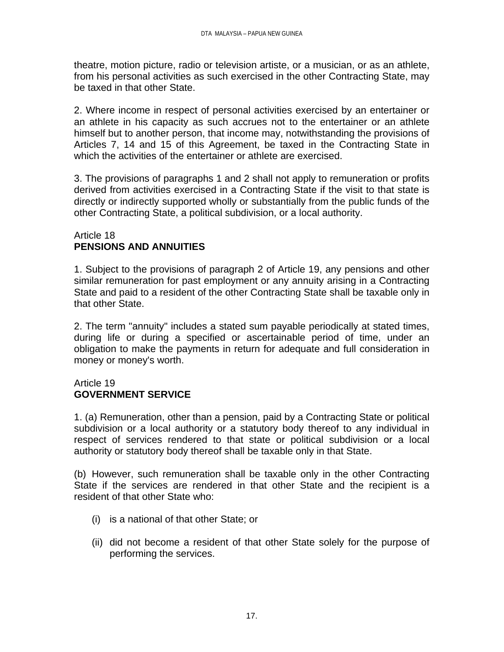theatre, motion picture, radio or television artiste, or a musician, or as an athlete, from his personal activities as such exercised in the other Contracting State, may be taxed in that other State.

2. Where income in respect of personal activities exercised by an entertainer or an athlete in his capacity as such accrues not to the entertainer or an athlete himself but to another person, that income may, notwithstanding the provisions of Articles 7, 14 and 15 of this Agreement, be taxed in the Contracting State in which the activities of the entertainer or athlete are exercised.

3. The provisions of paragraphs 1 and 2 shall not apply to remuneration or profits derived from activities exercised in a Contracting State if the visit to that state is directly or indirectly supported wholly or substantially from the public funds of the other Contracting State, a political subdivision, or a local authority.

### Article 18 **PENSIONS AND ANNUITIES**

1. Subject to the provisions of paragraph 2 of Article 19, any pensions and other similar remuneration for past employment or any annuity arising in a Contracting State and paid to a resident of the other Contracting State shall be taxable only in that other State.

2. The term "annuity" includes a stated sum payable periodically at stated times, during life or during a specified or ascertainable period of time, under an obligation to make the payments in return for adequate and full consideration in money or money's worth.

### Article 19 **GOVERNMENT SERVICE**

1. (a) Remuneration, other than a pension, paid by a Contracting State or political subdivision or a local authority or a statutory body thereof to any individual in respect of services rendered to that state or political subdivision or a local authority or statutory body thereof shall be taxable only in that State.

(b) However, such remuneration shall be taxable only in the other Contracting State if the services are rendered in that other State and the recipient is a resident of that other State who:

- (i) is a national of that other State; or
- (ii) did not become a resident of that other State solely for the purpose of performing the services.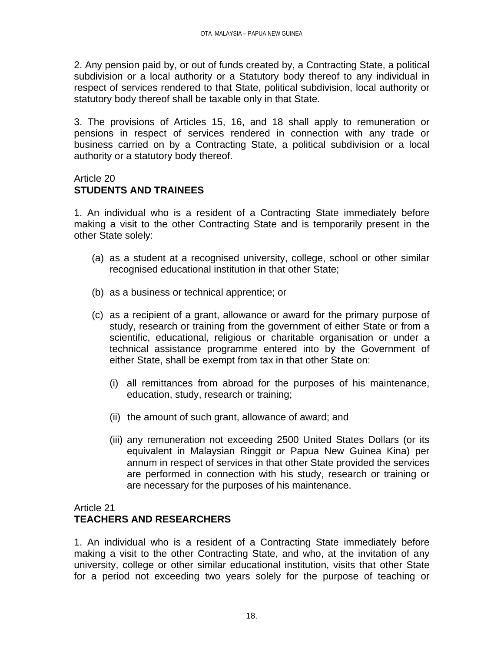2. Any pension paid by, or out of funds created by, a Contracting State, a political subdivision or a local authority or a Statutory body thereof to any individual in respect of services rendered to that State, political subdivision, local authority or statutory body thereof shall be taxable only in that State.

3. The provisions of Articles 15, 16, and 18 shall apply to remuneration or pensions in respect of services rendered in connection with any trade or business carried on by a Contracting State, a political subdivision or a local authority or a statutory body thereof.

#### Article 20 **STUDENTS AND TRAINEES**

1. An individual who is a resident of a Contracting State immediately before making a visit to the other Contracting State and is temporarily present in the other State solely:

- (a) as a student at a recognised university, college, school or other similar recognised educational institution in that other State;
- (b) as a business or technical apprentice; or
- (c) as a recipient of a grant, allowance or award for the primary purpose of study, research or training from the government of either State or from a scientific, educational, religious or charitable organisation or under a technical assistance programme entered into by the Government of either State, shall be exempt from tax in that other State on:
	- (i) all remittances from abroad for the purposes of his maintenance, education, study, research or training;
	- (ii) the amount of such grant, allowance of award; and
	- (iii) any remuneration not exceeding 2500 United States Dollars (or its equivalent in Malaysian Ringgit or Papua New Guinea Kina) per annum in respect of services in that other State provided the services are performed in connection with his study, research or training or are necessary for the purposes of his maintenance.

## Article 21

# **TEACHERS AND RESEARCHERS**

1. An individual who is a resident of a Contracting State immediately before making a visit to the other Contracting State, and who, at the invitation of any university, college or other similar educational institution, visits that other State for a period not exceeding two years solely for the purpose of teaching or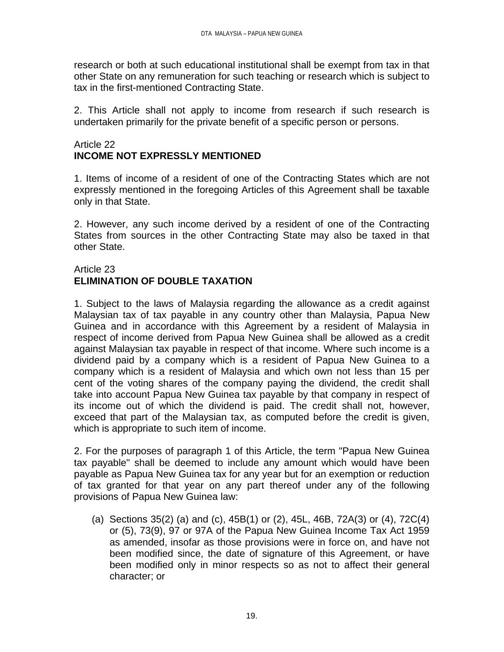research or both at such educational institutional shall be exempt from tax in that other State on any remuneration for such teaching or research which is subject to tax in the first-mentioned Contracting State.

2. This Article shall not apply to income from research if such research is undertaken primarily for the private benefit of a specific person or persons.

### Article 22 **INCOME NOT EXPRESSLY MENTIONED**

1. Items of income of a resident of one of the Contracting States which are not expressly mentioned in the foregoing Articles of this Agreement shall be taxable only in that State.

2. However, any such income derived by a resident of one of the Contracting States from sources in the other Contracting State may also be taxed in that other State.

### Article 23 **ELIMINATION OF DOUBLE TAXATION**

1. Subject to the laws of Malaysia regarding the allowance as a credit against Malaysian tax of tax payable in any country other than Malaysia, Papua New Guinea and in accordance with this Agreement by a resident of Malaysia in respect of income derived from Papua New Guinea shall be allowed as a credit against Malaysian tax payable in respect of that income. Where such income is a dividend paid by a company which is a resident of Papua New Guinea to a company which is a resident of Malaysia and which own not less than 15 per cent of the voting shares of the company paying the dividend, the credit shall take into account Papua New Guinea tax payable by that company in respect of its income out of which the dividend is paid. The credit shall not, however, exceed that part of the Malaysian tax, as computed before the credit is given, which is appropriate to such item of income.

2. For the purposes of paragraph 1 of this Article, the term "Papua New Guinea tax payable" shall be deemed to include any amount which would have been payable as Papua New Guinea tax for any year but for an exemption or reduction of tax granted for that year on any part thereof under any of the following provisions of Papua New Guinea law:

(a) Sections 35(2) (a) and (c), 45B(1) or (2), 45L, 46B, 72A(3) or (4), 72C(4) or (5), 73(9), 97 or 97A of the Papua New Guinea Income Tax Act 1959 as amended, insofar as those provisions were in force on, and have not been modified since, the date of signature of this Agreement, or have been modified only in minor respects so as not to affect their general character; or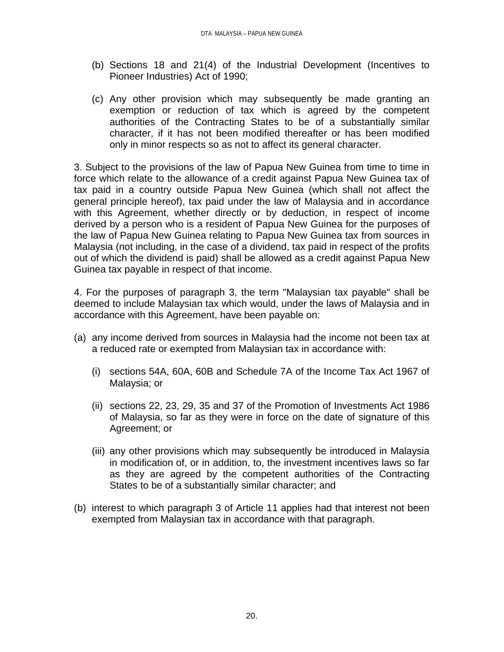- (b) Sections 18 and 21(4) of the Industrial Development (Incentives to Pioneer Industries) Act of 1990;
- (c) Any other provision which may subsequently be made granting an exemption or reduction of tax which is agreed by the competent authorities of the Contracting States to be of a substantially similar character, if it has not been modified thereafter or has been modified only in minor respects so as not to affect its general character.

3. Subject to the provisions of the law of Papua New Guinea from time to time in force which relate to the allowance of a credit against Papua New Guinea tax of tax paid in a country outside Papua New Guinea (which shall not affect the general principle hereof), tax paid under the law of Malaysia and in accordance with this Agreement, whether directly or by deduction, in respect of income derived by a person who is a resident of Papua New Guinea for the purposes of the law of Papua New Guinea relating to Papua New Guinea tax from sources in Malaysia (not including, in the case of a dividend, tax paid in respect of the profits out of which the dividend is paid) shall be allowed as a credit against Papua New Guinea tax payable in respect of that income.

4. For the purposes of paragraph 3, the term "Malaysian tax payable" shall be deemed to include Malaysian tax which would, under the laws of Malaysia and in accordance with this Agreement, have been payable on:

- (a) any income derived from sources in Malaysia had the income not been tax at a reduced rate or exempted from Malaysian tax in accordance with:
	- (i) sections 54A, 60A, 60B and Schedule 7A of the Income Tax Act 1967 of Malaysia; or
	- (ii) sections 22, 23, 29, 35 and 37 of the Promotion of Investments Act 1986 of Malaysia, so far as they were in force on the date of signature of this Agreement; or
	- (iii) any other provisions which may subsequently be introduced in Malaysia in modification of, or in addition, to, the investment incentives laws so far as they are agreed by the competent authorities of the Contracting States to be of a substantially similar character; and
- (b) interest to which paragraph 3 of Article 11 applies had that interest not been exempted from Malaysian tax in accordance with that paragraph.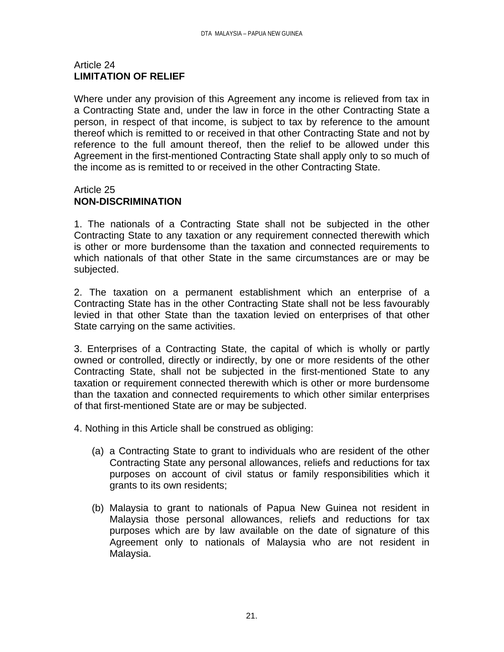### Article 24 **LIMITATION OF RELIEF**

Where under any provision of this Agreement any income is relieved from tax in a Contracting State and, under the law in force in the other Contracting State a person, in respect of that income, is subject to tax by reference to the amount thereof which is remitted to or received in that other Contracting State and not by reference to the full amount thereof, then the relief to be allowed under this Agreement in the first-mentioned Contracting State shall apply only to so much of the income as is remitted to or received in the other Contracting State.

### Article 25 **NON-DISCRIMINATION**

1. The nationals of a Contracting State shall not be subjected in the other Contracting State to any taxation or any requirement connected therewith which is other or more burdensome than the taxation and connected requirements to which nationals of that other State in the same circumstances are or may be subjected.

2. The taxation on a permanent establishment which an enterprise of a Contracting State has in the other Contracting State shall not be less favourably levied in that other State than the taxation levied on enterprises of that other State carrying on the same activities.

3. Enterprises of a Contracting State, the capital of which is wholly or partly owned or controlled, directly or indirectly, by one or more residents of the other Contracting State, shall not be subjected in the first-mentioned State to any taxation or requirement connected therewith which is other or more burdensome than the taxation and connected requirements to which other similar enterprises of that first-mentioned State are or may be subjected.

4. Nothing in this Article shall be construed as obliging:

- (a) a Contracting State to grant to individuals who are resident of the other Contracting State any personal allowances, reliefs and reductions for tax purposes on account of civil status or family responsibilities which it grants to its own residents;
- (b) Malaysia to grant to nationals of Papua New Guinea not resident in Malaysia those personal allowances, reliefs and reductions for tax purposes which are by law available on the date of signature of this Agreement only to nationals of Malaysia who are not resident in Malaysia.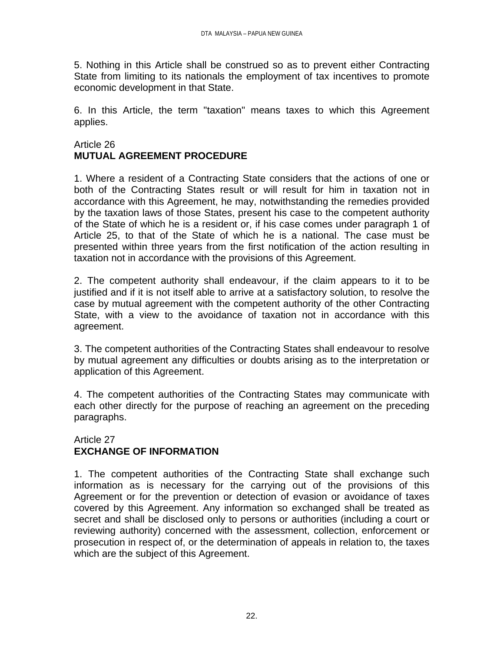5. Nothing in this Article shall be construed so as to prevent either Contracting State from limiting to its nationals the employment of tax incentives to promote economic development in that State.

6. In this Article, the term "taxation" means taxes to which this Agreement applies.

# Article 26 **MUTUAL AGREEMENT PROCEDURE**

1. Where a resident of a Contracting State considers that the actions of one or both of the Contracting States result or will result for him in taxation not in accordance with this Agreement, he may, notwithstanding the remedies provided by the taxation laws of those States, present his case to the competent authority of the State of which he is a resident or, if his case comes under paragraph 1 of Article 25, to that of the State of which he is a national. The case must be presented within three years from the first notification of the action resulting in taxation not in accordance with the provisions of this Agreement.

2. The competent authority shall endeavour, if the claim appears to it to be justified and if it is not itself able to arrive at a satisfactory solution, to resolve the case by mutual agreement with the competent authority of the other Contracting State, with a view to the avoidance of taxation not in accordance with this agreement.

3. The competent authorities of the Contracting States shall endeavour to resolve by mutual agreement any difficulties or doubts arising as to the interpretation or application of this Agreement.

4. The competent authorities of the Contracting States may communicate with each other directly for the purpose of reaching an agreement on the preceding paragraphs.

### Article 27 **EXCHANGE OF INFORMATION**

1. The competent authorities of the Contracting State shall exchange such information as is necessary for the carrying out of the provisions of this Agreement or for the prevention or detection of evasion or avoidance of taxes covered by this Agreement. Any information so exchanged shall be treated as secret and shall be disclosed only to persons or authorities (including a court or reviewing authority) concerned with the assessment, collection, enforcement or prosecution in respect of, or the determination of appeals in relation to, the taxes which are the subject of this Agreement.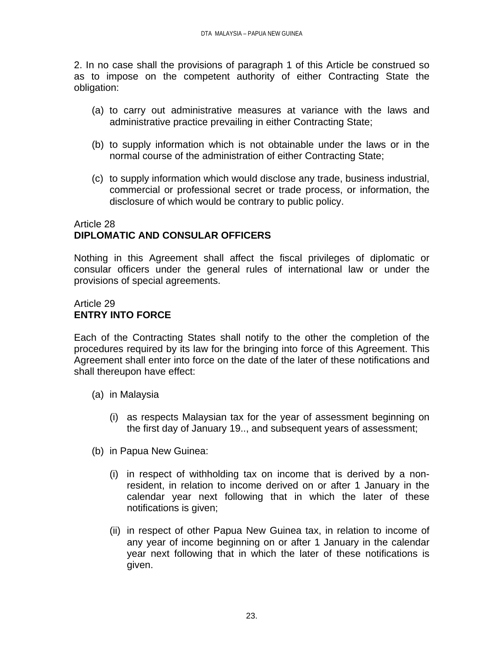2. In no case shall the provisions of paragraph 1 of this Article be construed so as to impose on the competent authority of either Contracting State the obligation:

- (a) to carry out administrative measures at variance with the laws and administrative practice prevailing in either Contracting State;
- (b) to supply information which is not obtainable under the laws or in the normal course of the administration of either Contracting State;
- (c) to supply information which would disclose any trade, business industrial, commercial or professional secret or trade process, or information, the disclosure of which would be contrary to public policy.

### Article 28 **DIPLOMATIC AND CONSULAR OFFICERS**

Nothing in this Agreement shall affect the fiscal privileges of diplomatic or consular officers under the general rules of international law or under the provisions of special agreements.

# Article 29 **ENTRY INTO FORCE**

Each of the Contracting States shall notify to the other the completion of the procedures required by its law for the bringing into force of this Agreement. This Agreement shall enter into force on the date of the later of these notifications and shall thereupon have effect:

- (a) in Malaysia
	- (i) as respects Malaysian tax for the year of assessment beginning on the first day of January 19.., and subsequent years of assessment;
- (b) in Papua New Guinea:
	- (i) in respect of withholding tax on income that is derived by a nonresident, in relation to income derived on or after 1 January in the calendar year next following that in which the later of these notifications is given;
	- (ii) in respect of other Papua New Guinea tax, in relation to income of any year of income beginning on or after 1 January in the calendar year next following that in which the later of these notifications is given.